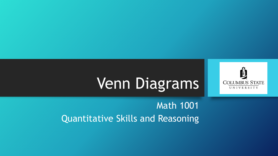

# Venn Diagrams

#### Math 1001 Quantitative Skills and Reasoning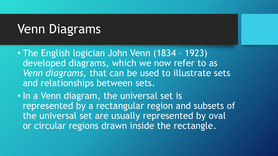## Venn Diagrams

- The English logician John Venn (1834 1923) developed diagrams, which we now refer to as *Venn diagrams*, that can be used to illustrate sets and relationships between sets.
- In a Venn diagram, the universal set is represented by a rectangular region and subsets of the universal set are usually represented by oval or circular regions drawn inside the rectangle.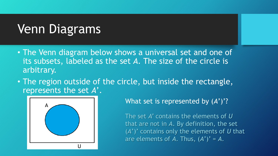## Venn Diagrams

- The Venn diagram below shows a universal set and one of its subsets, labeled as the set *A*. The size of the circle is arbitrary.
- The region outside of the circle, but inside the rectangle, represents the set *A*'.



What set is represented by (*A*')'?

The set *A'* contains the elements of *U* that are not in *A*. By definition, the set (*A*')' contains only the elements of *U* that are elements of  $A$ . Thus,  $(A')' = A$ .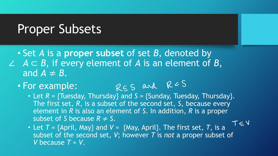#### Proper Subsets

- Set *A* is a **proper subset** of set *B*, denoted by *A* ⊂ *B*, if every element of *A* is an element of *B*, and  $A \neq B$ .
	- For example:

• Let  $R = \{\text{Tuesday}, \text{Thursday}\}$  and  $S = \{\text{Sunday}, \text{Tuesday}, \text{Thursday}\}.$ The first set, *R*, is a subset of the second set, *S*, because every element in *R* is also an element of *S*. In addition, *R* is a proper subset of *S* because  $R \neq S$ .  $T \subseteq V$ 

• Let *T* = {April, May} and *V* = {May, April}. The first set, *T*, is a subset of the second set, *V*; however *T* is *not* a proper subset of *V* because  $T = V$ .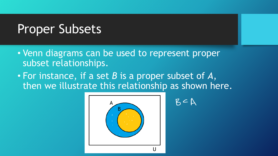### Proper Subsets

- Venn diagrams can be used to represent proper subset relationships.
- For instance, if a set *B* is a proper subset of *A*, then we illustrate this relationship as shown here.



$$
\mathsf{B}\subseteq\mathsf{A}
$$